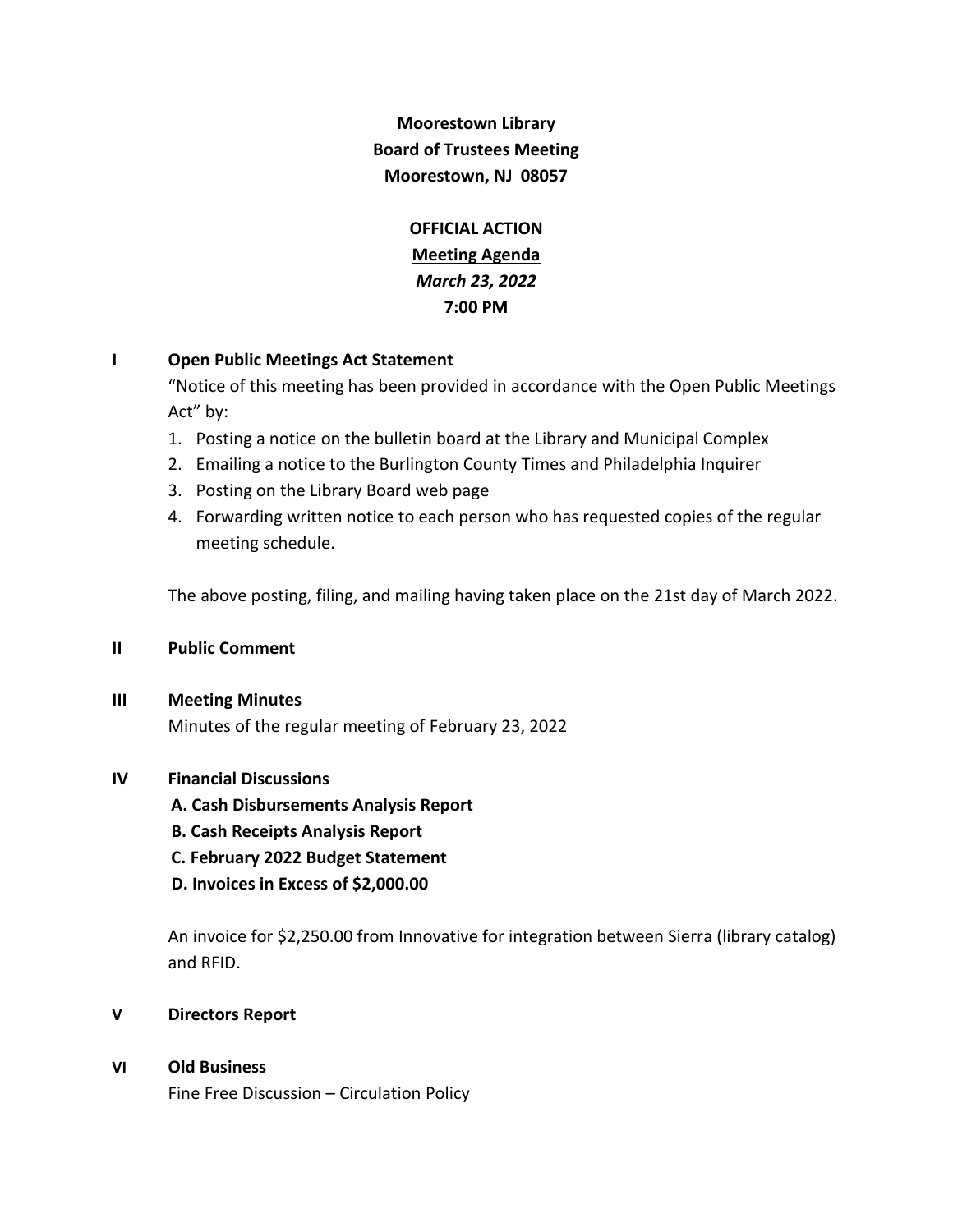# **Moorestown Library Board of Trustees Meeting Moorestown, NJ 08057**

**OFFICIAL ACTION Meeting Agenda** *March 23, 2022* **7:00 PM**

## **I Open Public Meetings Act Statement**

"Notice of this meeting has been provided in accordance with the Open Public Meetings Act" by:

- 1. Posting a notice on the bulletin board at the Library and Municipal Complex
- 2. Emailing a notice to the Burlington County Times and Philadelphia Inquirer
- 3. Posting on the Library Board web page
- 4. Forwarding written notice to each person who has requested copies of the regular meeting schedule.

The above posting, filing, and mailing having taken place on the 21st day of March 2022.

#### **II Public Comment**

#### **III Meeting Minutes**

Minutes of the regular meeting of February 23, 2022

#### **IV Financial Discussions**

 **A. Cash Disbursements Analysis Report**

- **B. Cash Receipts Analysis Report**
- **C. February 2022 Budget Statement**
- **D. Invoices in Excess of \$2,000.00**

An invoice for \$2,250.00 from Innovative for integration between Sierra (library catalog) and RFID.

- **V Directors Report**
- **VI Old Business**

Fine Free Discussion – Circulation Policy